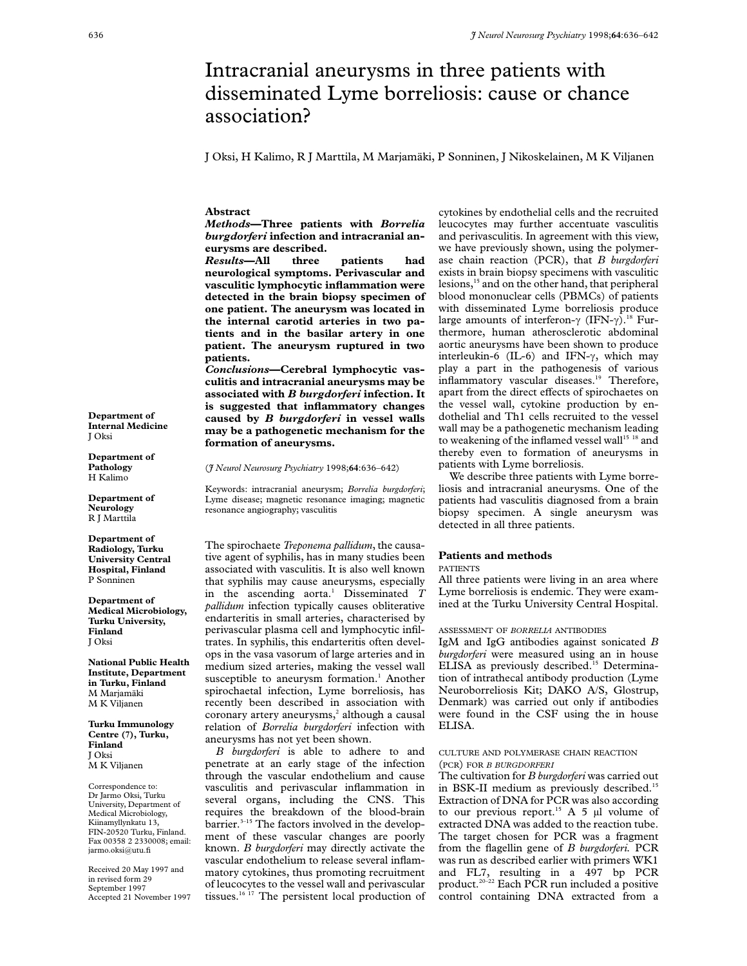# Intracranial aneurysms in three patients with disseminated Lyme borreliosis: cause or chance association?

J Oksi, H Kalimo, R J Marttila, M Marjamäki, P Sonninen, J Nikoskelainen, M K Viljanen

**Abstract**

*Methods***—Three patients with** *Borrelia burgdorferi* **infection and intracranial aneurysms are described.**

*Results***—All three patients had neurological symptoms. Perivascular and vasculitic lymphocytic inflammation were detected in the brain biopsy specimen of one patient. The aneurysm was located in the internal carotid arteries in two patients and in the basilar artery in one patient. The aneurysm ruptured in two patients.**

*Conclusions***—Cerebral lymphocytic vasculitis and intracranial aneurysms may be associated with** *B burgdorferi* **infection. It is suggested that inflammatory changes caused by** *B burgdorferi* **in vessel walls may be a pathogenetic mechanism for the formation of aneurysms.**

(*J Neurol Neurosurg Psychiatry* 1998;**64**:636–642)

Keywords: intracranial aneurysm; *Borrelia burgdorferi*; Lyme disease; magnetic resonance imaging; magnetic resonance angiography; vasculitis

The spirochaete *Treponema pallidum*, the causative agent of syphilis, has in many studies been associated with vasculitis. It is also well known that syphilis may cause aneurysms, especially in the ascending aorta.<sup>1</sup> Disseminated *T pallidum* infection typically causes obliterative endarteritis in small arteries, characterised by perivascular plasma cell and lymphocytic infiltrates. In syphilis, this endarteritis often develops in the vasa vasorum of large arteries and in medium sized arteries, making the vessel wall susceptible to aneurysm formation.<sup>1</sup> Another spirochaetal infection, Lyme borreliosis, has recently been described in association with coronary artery aneurysms, $2$  although a causal relation of *Borrelia burgdorferi* infection with aneurysms has not yet been shown.

*B burgdorferi* is able to adhere to and penetrate at an early stage of the infection through the vascular endothelium and cause vasculitis and perivascular inflammation in several organs, including the CNS. This requires the breakdown of the blood-brain barrier.<sup>3-15</sup> The factors involved in the development of these vascular changes are poorly known. *B burgdorferi* may directly activate the vascular endothelium to release several inflammatory cytokines, thus promoting recruitment of leucocytes to the vessel wall and perivascular tissues.<sup>16 17</sup> The persistent local production of cytokines by endothelial cells and the recruited leucocytes may further accentuate vasculitis and perivasculitis. In agreement with this view, we have previously shown, using the polymerase chain reaction (PCR), that *B burgdorferi* exists in brain biopsy specimens with vasculitic lesions,<sup>15</sup> and on the other hand, that peripheral blood mononuclear cells (PBMCs) of patients with disseminated Lyme borreliosis produce large amounts of interferon- $\gamma$  (IFN- $\gamma$ ).<sup>18</sup> Furthermore, human atherosclerotic abdominal aortic aneurysms have been shown to produce interleukin-6 (IL-6) and IFN- $\gamma$ , which may play a part in the pathogenesis of various inflammatory vascular diseases.<sup>19</sup> Therefore, apart from the direct effects of spirochaetes on the vessel wall, cytokine production by endothelial and Th1 cells recruited to the vessel wall may be a pathogenetic mechanism leading to weakening of the inflamed vessel wall<sup>15 18</sup> and thereby even to formation of aneurysms in patients with Lyme borreliosis.

We describe three patients with Lyme borreliosis and intracranial aneurysms. One of the patients had vasculitis diagnosed from a brain biopsy specimen. A single aneurysm was detected in all three patients.

# **Patients and methods**

# PATIENTS

All three patients were living in an area where Lyme borreliosis is endemic. They were examined at the Turku University Central Hospital.

## ASSESSMENT OF *BORRELIA* ANTIBODIES

IgM and IgG antibodies against sonicated *B burgdorferi* were measured using an in house ELISA as previously described.<sup>15</sup> Determination of intrathecal antibody production (Lyme Neuroborreliosis Kit; DAKO A/S, Glostrup, Denmark) was carried out only if antibodies were found in the CSF using the in house ELISA.

## CULTURE AND POLYMERASE CHAIN REACTION (PCR) FOR *B BURGDORFERI*

The cultivation for *B burgdorferi* was carried out in BSK-II medium as previously described.<sup>15</sup> Extraction of DNA for PCR was also according to our previous report.<sup>15</sup> A 5  $\mu$ l volume of extracted DNA was added to the reaction tube. The target chosen for PCR was a fragment from the flagellin gene of *B burgdorferi.* PCR was run as described earlier with primers WK1 and FL7, resulting in a 497 bp PCR product.20–22 Each PCR run included a positive control containing DNA extracted from a

**Department of Internal Medicine** J Oksi

**Department of Pathology** H Kalimo

**Department of Neurology** R J Marttila

**Department of Radiology, Turku University Central Hospital, Finland** P Sonninen

**Department of Medical Microbiology, Turku University, Finland** J Oksi

**National Public Health Institute, Department in Turku, Finland** M Marjamäki M K Viljanen

**Turku Immunology Centre (7), Turku, Finland** J Oksi M K Viljanen

Correspondence to: Dr Jarmo Oksi, Turku University, Department of Medical Microbiology, Kiinamyllynkatu 13, FIN-20520 Turku, Finland. Fax 00358 2 2330008; email: jarmo.oksi@utu.fi

Received 20 May 1997 and in revised form 29 September 1997 Accepted 21 November 1997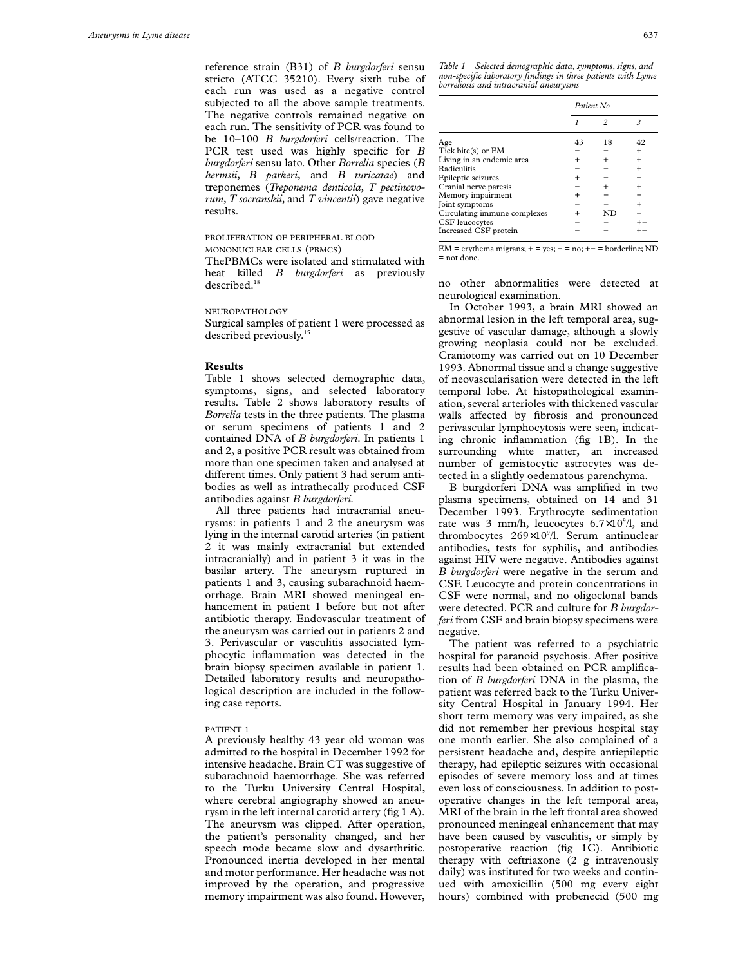reference strain (B31) of *B burgdorferi* sensu stricto (ATCC 35210). Every sixth tube of each run was used as a negative control subjected to all the above sample treatments. The negative controls remained negative on each run. The sensitivity of PCR was found to be 10–100 *B burgdorferi* cells/reaction. The PCR test used was highly specific for *B burgdorferi* sensu lato. Other *Borrelia* species (*B hermsii, B parkeri,* and *B turicatae*) and treponemes (*Treponema denticola, T pectinovorum, T socranskii,* and *T vincentii*) gave negative results.

#### PROLIFERATION OF PERIPHERAL BLOOD MONONUCLEAR CELLS (PRMCS)

ThePBMCs were isolated and stimulated with heat killed *B burgdorferi* as previously described.<sup>18</sup>

### NEUROPATHOLOGY

Surgical samples of patient 1 were processed as described previously.<sup>15</sup>

## **Results**

Table 1 shows selected demographic data, symptoms, signs, and selected laboratory results. Table 2 shows laboratory results of *Borrelia* tests in the three patients. The plasma or serum specimens of patients 1 and 2 contained DNA of *B burgdorferi*. In patients 1 and 2, a positive PCR result was obtained from more than one specimen taken and analysed at different times. Only patient 3 had serum antibodies as well as intrathecally produced CSF antibodies against *B burgdorferi.*

All three patients had intracranial aneurysms: in patients 1 and 2 the aneurysm was lying in the internal carotid arteries (in patient 2 it was mainly extracranial but extended intracranially) and in patient 3 it was in the basilar artery. The aneurysm ruptured in patients 1 and 3, causing subarachnoid haemorrhage. Brain MRI showed meningeal enhancement in patient 1 before but not after antibiotic therapy. Endovascular treatment of the aneurysm was carried out in patients 2 and 3. Perivascular or vasculitis associated lymphocytic inflammation was detected in the brain biopsy specimen available in patient 1. Detailed laboratory results and neuropathological description are included in the following case reports.

### PATIENT 1

A previously healthy 43 year old woman was admitted to the hospital in December 1992 for intensive headache. Brain CT was suggestive of subarachnoid haemorrhage. She was referred to the Turku University Central Hospital, where cerebral angiography showed an aneurysm in the left internal carotid artery (fig 1 A). The aneurysm was clipped. After operation, the patient's personality changed, and her speech mode became slow and dysarthritic. Pronounced inertia developed in her mental and motor performance. Her headache was not improved by the operation, and progressive memory impairment was also found. However,

*Table 1 Selected demographic data, symptoms, signs, and non-specific laboratory findings in three patients with Lyme borreliosis and intracranial aneurysms*

|                              | Patient No. |    |           |
|------------------------------|-------------|----|-----------|
|                              |             | 2  |           |
| Age                          | 43          | 18 | 42        |
| Tick bite(s) or EM           |             |    | $\pm$     |
| Living in an endemic area    |             |    | $\ddot{}$ |
| Radiculitis                  |             |    | $\ddot{}$ |
| Epileptic seizures           |             |    |           |
| Cranial nerve paresis        |             |    | $\ddot{}$ |
| Memory impairment            |             |    |           |
| Joint symptoms               |             |    | $\ddot{}$ |
| Circulating immune complexes |             | ND |           |
| CSF leucocytes               |             |    |           |
| Increased CSF protein        |             |    |           |

 $EM =$  erythema migrans;  $+ =$  yes;  $- =$  no;  $+ -$  = borderline; ND = not done.

no other abnormalities were detected at neurological examination.

In October 1993, a brain MRI showed an abnormal lesion in the left temporal area, suggestive of vascular damage, although a slowly growing neoplasia could not be excluded. Craniotomy was carried out on 10 December 1993. Abnormal tissue and a change suggestive of neovascularisation were detected in the left temporal lobe. At histopathological examination, several arterioles with thickened vascular walls affected by fibrosis and pronounced perivascular lymphocytosis were seen, indicating chronic inflammation (fig 1B). In the surrounding white matter, an increased number of gemistocytic astrocytes was detected in a slightly oedematous parenchyma.

B burgdorferi DNA was amplified in two plasma specimens, obtained on 14 and 31 December 1993. Erythrocyte sedimentation rate was 3 mm/h, leucocytes  $6.7 \times 10^9$ /l, and thrombocytes 269×10<sup>9</sup>/l. Serum antinuclear antibodies, tests for syphilis, and antibodies against HIV were negative. Antibodies against *B burgdorferi* were negative in the serum and CSF. Leucocyte and protein concentrations in CSF were normal, and no oligoclonal bands were detected. PCR and culture for *B burgdorferi* from CSF and brain biopsy specimens were negative.

The patient was referred to a psychiatric hospital for paranoid psychosis. After positive results had been obtained on PCR amplification of *B burgdorferi* DNA in the plasma, the patient was referred back to the Turku University Central Hospital in January 1994. Her short term memory was very impaired, as she did not remember her previous hospital stay one month earlier. She also complained of a persistent headache and, despite antiepileptic therapy, had epileptic seizures with occasional episodes of severe memory loss and at times even loss of consciousness. In addition to postoperative changes in the left temporal area, MRI of the brain in the left frontal area showed pronounced meningeal enhancement that may have been caused by vasculitis, or simply by postoperative reaction (fig 1C). Antibiotic therapy with ceftriaxone (2 g intravenously daily) was instituted for two weeks and continued with amoxicillin (500 mg every eight hours) combined with probenecid (500 mg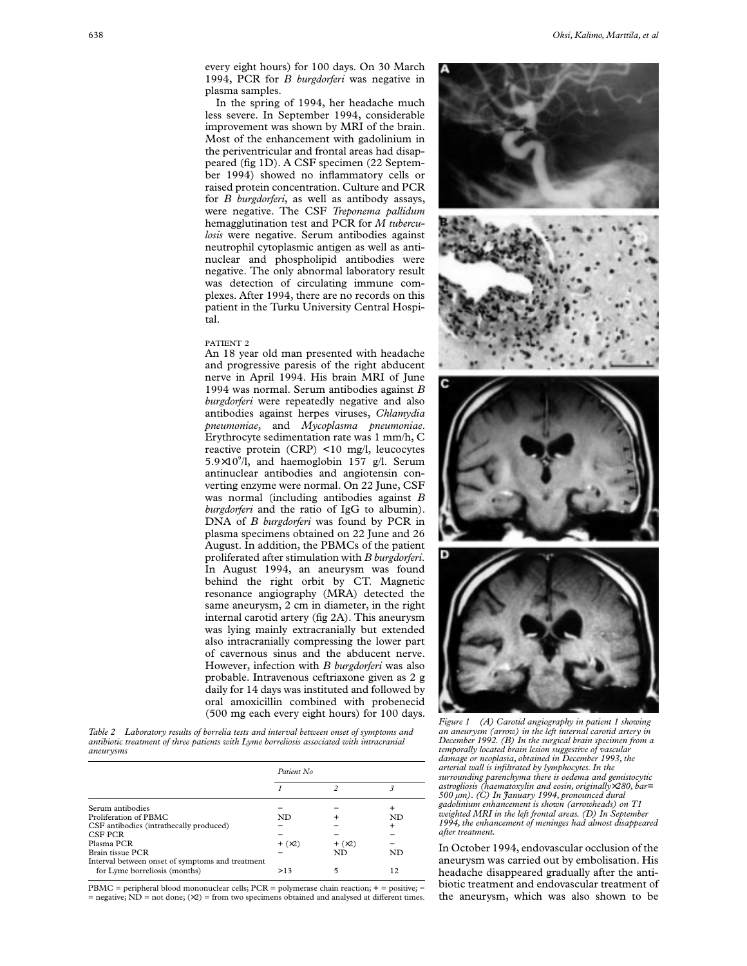every eight hours) for 100 days. On 30 March 1994, PCR for *B burgdorferi* was negative in plasma samples.

In the spring of 1994, her headache much less severe. In September 1994, considerable improvement was shown by MRI of the brain. Most of the enhancement with gadolinium in the periventricular and frontal areas had disappeared (fig 1D). A CSF specimen (22 September 1994) showed no inflammatory cells or raised protein concentration. Culture and PCR for *B burgdorferi*, as well as antibody assays, were negative. The CSF *Treponema pallidum* hemagglutination test and PCR for *M tuberculosis* were negative. Serum antibodies against neutrophil cytoplasmic antigen as well as antinuclear and phospholipid antibodies were negative. The only abnormal laboratory result was detection of circulating immune complexes. After 1994, there are no records on this patient in the Turku University Central Hospital.

#### PATIENT 2

An 18 year old man presented with headache and progressive paresis of the right abducent nerve in April 1994. His brain MRI of June 1994 was normal. Serum antibodies against *B burgdorferi* were repeatedly negative and also antibodies against herpes viruses, *Chlamydia pneumoniae*, and *Mycoplasma pneumoniae*. Erythrocyte sedimentation rate was 1 mm/h, C reactive protein (CRP) <10 mg/l, leucocytes  $5.9 \times 10^{9}$ /l, and haemoglobin 157 g/l. Serum antinuclear antibodies and angiotensin converting enzyme were normal. On 22 June, CSF was normal (including antibodies against *B burgdorferi* and the ratio of IgG to albumin). DNA of *B burgdorferi* was found by PCR in plasma specimens obtained on 22 June and 26 August. In addition, the PBMCs of the patient proliferated after stimulation with *B burgdorferi*. In August 1994, an aneurysm was found behind the right orbit by CT. Magnetic resonance angiography (MRA) detected the same aneurysm, 2 cm in diameter, in the right internal carotid artery (fig 2A). This aneurysm was lying mainly extracranially but extended also intracranially compressing the lower part of cavernous sinus and the abducent nerve. However, infection with *B burgdorferi* was also probable. Intravenous ceftriaxone given as 2 g daily for 14 days was instituted and followed by oral amoxicillin combined with probenecid (500 mg each every eight hours) for 100 days.

*Table 2 Laboratory results of borrelia tests and interval between onset of symptoms and antibiotic treatment of three patients with Lyme borreliosis associated with intracranial aneurysms*

| Patient No.       |                   |    |  |
|-------------------|-------------------|----|--|
|                   |                   |    |  |
|                   |                   | ÷  |  |
| ND                |                   | ND |  |
|                   |                   |    |  |
|                   |                   |    |  |
| $+$ ( $\times$ 2) | $+$ ( $\times$ 2) |    |  |
|                   | ND                | ND |  |
|                   |                   |    |  |
| >13               |                   | 12 |  |
|                   |                   |    |  |

PBMC = peripheral blood mononuclear cells; PCR = polymerase chain reaction;  $+$  = positive; - $=$  negative; ND  $=$  not done; ( $\times$ 2)  $=$  from two specimens obtained and analysed at different times.



*Figure 1 (A) Carotid angiography in patient 1 showing an aneurysm (arrow) in the left internal carotid artery in December 1992. (B) In the surgical brain specimen from a temporally located brain lesion suggestive of vascular damage or neoplasia, obtained in December 1993, the arterial wall is infiltrated by lymphocytes. In the surrounding parenchyma there is oedema and gemistocytic astrogliosis (haematoxylin and eosin, originally*×*280, bar= 500 µm). (C) In January 1994, pronounced dural gadolinium enhancement is shown (arrowheads) on T1 weighted MRI in the left frontal areas. (D) In September 1994, the enhancement of meninges had almost disappeared after treatment.*

In October 1994, endovascular occlusion of the aneurysm was carried out by embolisation. His headache disappeared gradually after the antibiotic treatment and endovascular treatment of the aneurysm, which was also shown to be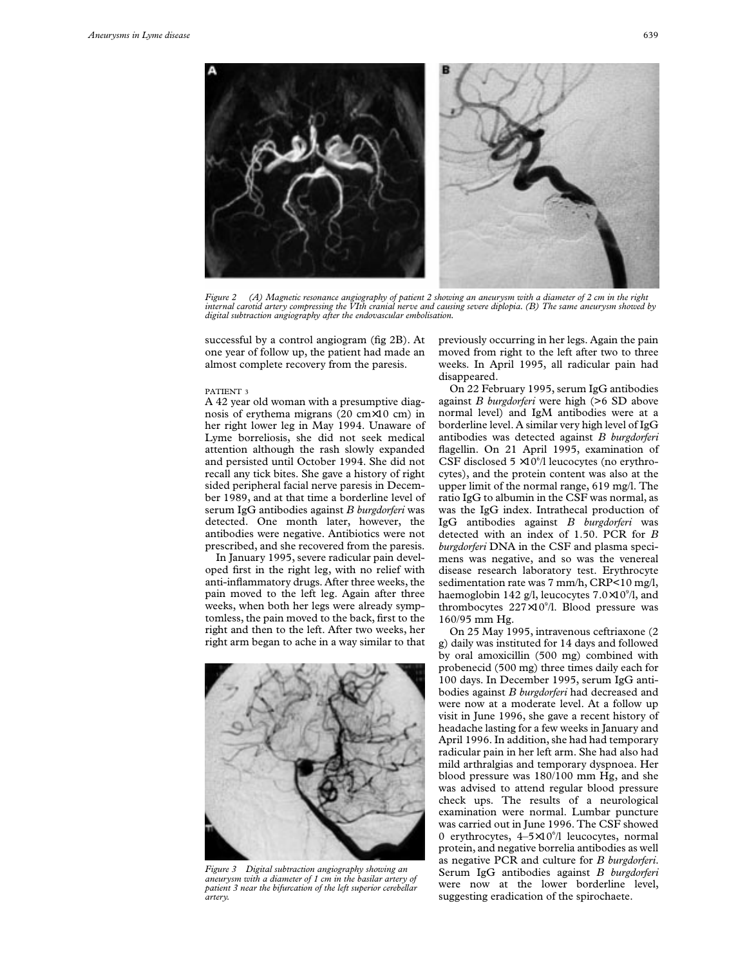

*Figure 2 (A) Magnetic resonance angiography of patient 2 showing an aneurysm with a diameter of 2 cm in the right internal carotid artery compressing the VIth cranial nerve and causing severe diplopia. (B) The same aneurysm showed by digital subtraction angiography after the endovascular embolisation.*

successful by a control angiogram (fig 2B). At one year of follow up, the patient had made an almost complete recovery from the paresis.

#### PATIENT 3

A 42 year old woman with a presumptive diagnosis of erythema migrans (20 cm×10 cm) in her right lower leg in May 1994. Unaware of Lyme borreliosis, she did not seek medical attention although the rash slowly expanded and persisted until October 1994. She did not recall any tick bites. She gave a history of right sided peripheral facial nerve paresis in December 1989, and at that time a borderline level of serum IgG antibodies against *B burgdorferi* was detected. One month later, however, the antibodies were negative. Antibiotics were not prescribed, and she recovered from the paresis.

In January 1995, severe radicular pain developed first in the right leg, with no relief with anti-inflammatory drugs. After three weeks, the pain moved to the left leg. Again after three weeks, when both her legs were already symptomless, the pain moved to the back, first to the right and then to the left. After two weeks, her right arm began to ache in a way similar to that



*Figure 3 Digital subtraction angiography showing an aneurysm with a diameter of 1 cm in the basilar artery of patient 3 near the bifurcation of the left superior cerebellar artery.*

previously occurring in her legs. Again the pain moved from right to the left after two to three weeks. In April 1995, all radicular pain had disappeared.

On 22 February 1995, serum IgG antibodies against *B burgdorferi* were high (>6 SD above normal level) and IgM antibodies were at a borderline level. A similar very high level of IgG antibodies was detected against *B burgdorferi* flagellin. On 21 April 1995, examination of CSF disclosed  $5 \times 10^{6}/1$  leucocytes (no erythrocytes), and the protein content was also at the upper limit of the normal range, 619 mg/l. The ratio IgG to albumin in the CSF was normal, as was the IgG index. Intrathecal production of IgG antibodies against *B burgdorferi* was detected with an index of 1.50. PCR for *B burgdorferi* DNA in the CSF and plasma specimens was negative, and so was the venereal disease research laboratory test. Erythrocyte sedimentation rate was 7 mm/h, CRP<10 mg/l, haemoglobin 142 g/l, leucocytes 7.0×10°/l, and thrombocytes 227×10<sup>9</sup>/l. Blood pressure was 160/95 mm Hg.

On 25 May 1995, intravenous ceftriaxone (2 g) daily was instituted for 14 days and followed by oral amoxicillin (500 mg) combined with probenecid (500 mg) three times daily each for 100 days. In December 1995, serum IgG antibodies against *B burgdorferi* had decreased and were now at a moderate level. At a follow up visit in June 1996, she gave a recent history of headache lasting for a few weeks in January and April 1996. In addition, she had had temporary radicular pain in her left arm. She had also had mild arthralgias and temporary dyspnoea. Her blood pressure was 180/100 mm Hg, and she was advised to attend regular blood pressure check ups. The results of a neurological examination were normal. Lumbar puncture was carried out in June 1996. The CSF showed 0 erythrocytes,  $4-5\times10^{6}/1$  leucocytes, normal protein, and negative borrelia antibodies as well as negative PCR and culture for *B burgdorferi*. Serum IgG antibodies against *B burgdorferi* were now at the lower borderline level, suggesting eradication of the spirochaete.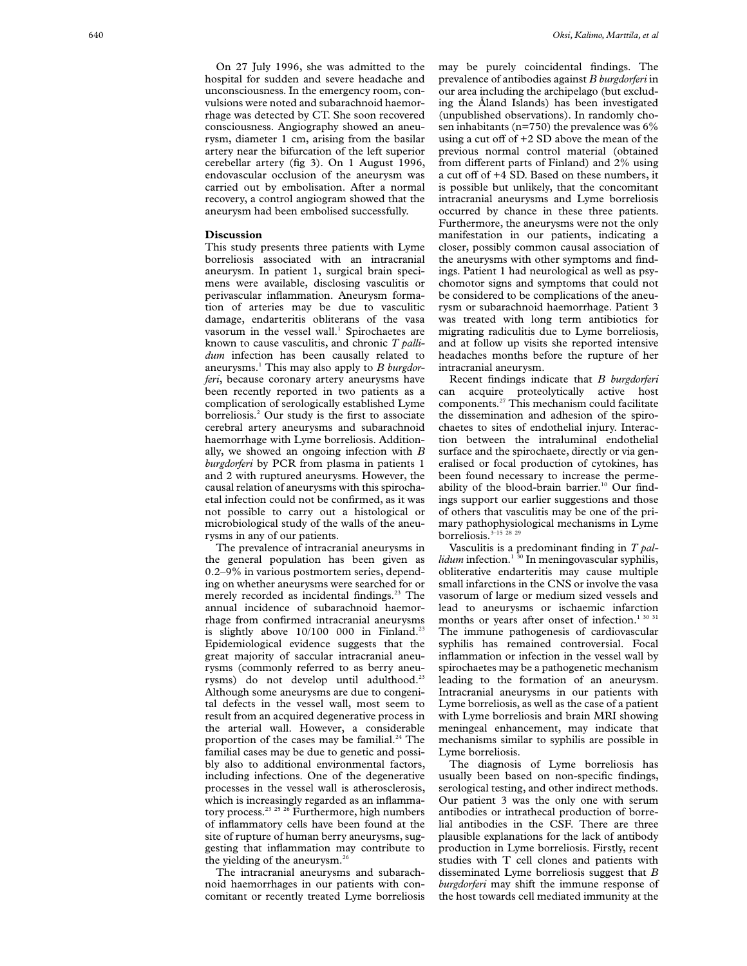On 27 July 1996, she was admitted to the hospital for sudden and severe headache and unconsciousness. In the emergency room, convulsions were noted and subarachnoid haemorrhage was detected by CT. She soon recovered consciousness. Angiography showed an aneurysm, diameter 1 cm, arising from the basilar artery near the bifurcation of the left superior cerebellar artery (fig 3). On 1 August 1996, endovascular occlusion of the aneurysm was carried out by embolisation. After a normal recovery, a control angiogram showed that the aneurysm had been embolised successfully.

# **Discussion**

This study presents three patients with Lyme borreliosis associated with an intracranial aneurysm. In patient 1, surgical brain specimens were available, disclosing vasculitis or perivascular inflammation. Aneurysm formation of arteries may be due to vasculitic damage, endarteritis obliterans of the vasa vasorum in the vessel wall. <sup>1</sup> Spirochaetes are known to cause vasculitis, and chronic *T pallidum* infection has been causally related to aneurysms. <sup>1</sup> This may also apply to *B burgdorferi*, because coronary artery aneurysms have been recently reported in two patients as a complication of serologically established Lyme borreliosis. <sup>2</sup> Our study is the first to associate cerebral artery aneurysms and subarachnoid haemorrhage with Lyme borreliosis. Additionally, we showed an ongoing infection with *B burgdorferi* by PCR from plasma in patients 1 and 2 with ruptured aneurysms. However, the causal relation of aneurysms with this spirochaetal infection could not be confirmed, as it was not possible to carry out a histological or microbiological study of the walls of the aneurysms in any of our patients.

The prevalence of intracranial aneurysms in the general population has been given as 0.2–9% in various postmortem series, depending on whether aneurysms were searched for or merely recorded as incidental findings.<sup>23</sup> The annual incidence of subarachnoid haemorrhage from confirmed intracranial aneurysms is slightly above  $10/100$  000 in Finland.<sup>23</sup> Epidemiological evidence suggests that the great majority of saccular intracranial aneurysms (commonly referred to as berry aneurysms) do not develop until adulthood.<sup>23</sup> Although some aneurysms are due to congenital defects in the vessel wall, most seem to result from an acquired degenerative process in the arterial wall. However, a considerable proportion of the cases may be familial. $24$  The familial cases may be due to genetic and possibly also to additional environmental factors, including infections. One of the degenerative processes in the vessel wall is atherosclerosis, which is increasingly regarded as an inflammatory process.<sup>23</sup> <sup>25</sup> <sup>26</sup> Furthermore, high numbers of inflammatory cells have been found at the site of rupture of human berry aneurysms, suggesting that inflammation may contribute to the yielding of the aneurysm.<sup>26</sup>

The intracranial aneurysms and subarachnoid haemorrhages in our patients with concomitant or recently treated Lyme borreliosis may be purely coincidental findings. The prevalence of antibodies against *B burgdorferi* in our area including the archipelago (but excluding the Åland Islands) has been investigated (unpublished observations). In randomly chosen inhabitants (n=750) the prevalence was 6% using a cut off of  $+2$  SD above the mean of the previous normal control material (obtained .<br>from different parts of Finland) and 2% using a cut off of  $+4$  SD. Based on these numbers, it is possible but unlikely, that the concomitant intracranial aneurysms and Lyme borreliosis occurred by chance in these three patients. Furthermore, the aneurysms were not the only manifestation in our patients, indicating a closer, possibly common causal association of the aneurysms with other symptoms and findings. Patient 1 had neurological as well as psychomotor signs and symptoms that could not be considered to be complications of the aneurysm or subarachnoid haemorrhage. Patient 3 was treated with long term antibiotics for migrating radiculitis due to Lyme borreliosis, and at follow up visits she reported intensive headaches months before the rupture of her intracranial aneurysm.

Recent findings indicate that *B burgdorferi* can acquire proteolytically active host components.27 This mechanism could facilitate the dissemination and adhesion of the spirochaetes to sites of endothelial injury. Interaction between the intraluminal endothelial surface and the spirochaete, directly or via generalised or focal production of cytokines, has been found necessary to increase the permeability of the blood-brain barrier.<sup>10</sup> Our findings support our earlier suggestions and those of others that vasculitis may be one of the primary pathophysiological mechanisms in Lyme borreliosis.<sup>3-15</sup> 28 29

Vasculitis is a predominant finding in *T pallidum* infection.1 30 In meningovascular syphilis, obliterative endarteritis may cause multiple small infarctions in the CNS or involve the vasa vasorum of large or medium sized vessels and lead to aneurysms or ischaemic infarction months or years after onset of infection.<sup>1 30 31</sup> The immune pathogenesis of cardiovascular syphilis has remained controversial. Focal inflammation or infection in the vessel wall by spirochaetes may be a pathogenetic mechanism leading to the formation of an aneurysm. Intracranial aneurysms in our patients with Lyme borreliosis, as well as the case of a patient with Lyme borreliosis and brain MRI showing meningeal enhancement, may indicate that mechanisms similar to syphilis are possible in Lyme borreliosis.

The diagnosis of Lyme borreliosis has usually been based on non-specific findings, serological testing, and other indirect methods. Our patient 3 was the only one with serum antibodies or intrathecal production of borrelial antibodies in the CSF. There are three plausible explanations for the lack of antibody production in Lyme borreliosis. Firstly, recent studies with T cell clones and patients with disseminated Lyme borreliosis suggest that *B burgdorferi* may shift the immune response of the host towards cell mediated immunity at the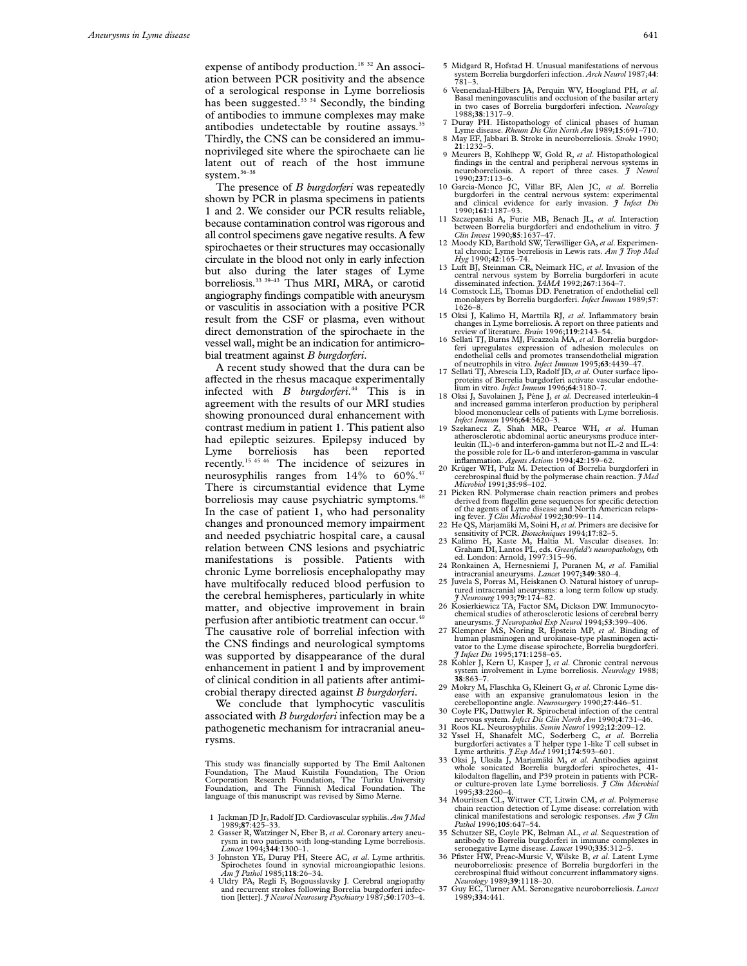expense of antibody production.<sup>18 32</sup> An association between PCR positivity and the absence of a serological response in Lyme borreliosis has been suggested.<sup>33 34</sup> Secondly, the binding of antibodies to immune complexes may make antibodies undetectable by routine assays.<sup>35</sup> Thirdly, the CNS can be considered an immunoprivileged site where the spirochaete can lie latent out of reach of the host immune system.36–38

The presence of *B burgdorferi* was repeatedly shown by PCR in plasma specimens in patients 1 and 2. We consider our PCR results reliable, because contamination control was rigorous and all control specimens gave negative results. A few spirochaetes or their structures may occasionally circulate in the blood not only in early infection but also during the later stages of Lyme borreliosis.33 39–43 Thus MRI, MRA, or carotid angiography findings compatible with aneurysm or vasculitis in association with a positive PCR result from the CSF or plasma, even without direct demonstration of the spirochaete in the vessel wall, might be an indication for antimicrobial treatment against *B burgdorferi*.

A recent study showed that the dura can be affected in the rhesus macaque experimentally infected with *B burgdorferi*. <sup>44</sup> This is in agreement with the results of our MRI studies showing pronounced dural enhancement with contrast medium in patient 1. This patient also had epileptic seizures. Epilepsy induced by Lyme borreliosis has been reported recently.15 45 46 The incidence of seizures in neurosyphilis ranges from 14% to 60%.<sup>47</sup> There is circumstantial evidence that Lyme borreliosis may cause psychiatric symptoms.<sup>48</sup> In the case of patient 1, who had personality changes and pronounced memory impairment and needed psychiatric hospital care, a causal relation between CNS lesions and psychiatric manifestations is possible. Patients with chronic Lyme borreliosis encephalopathy may have multifocally reduced blood perfusion to the cerebral hemispheres, particularly in white matter, and objective improvement in brain perfusion after antibiotic treatment can occur.<sup>49</sup> The causative role of borrelial infection with the CNS findings and neurological symptoms was supported by disappearance of the dural enhancement in patient 1 and by improvement of clinical condition in all patients after antimicrobial therapy directed against *B burgdorferi*.

We conclude that lymphocytic vasculitis associated with *B burgdorferi* infection may be a pathogenetic mechanism for intracranial aneurysms.

This study was financially supported by The Emil Aaltonen Foundation, The Maud Kuistila Foundation, The Orion Corporation Research Foundation, The Turku University Foundation, and The Finnish Medical Foundation. The language of this manuscript was revised by Simo Merne.

- 1 Jackman JD Jr, Radolf JD. Cardiovascular syphilis. *Am J Med* 1989;**87**:425–33.
- 2 Gasser R, Watzinger N, Eber B, *et al*. Coronary artery aneurysm in two patients with long-standing Lyme borreliosis. *Lancet* 1994;**344**:1300–1.
- 3 Johnston YE, Duray PH, Steere AC, *et al*. Lyme arthritis. Spirochetes found in synovial microangiopathic lesions.<br>Am  $\tilde{j}$  Pathol 1985;118:26-34.
- *Am J Pathol* 1985;**118**:26–34.<br>4 Uldry PA, Regli F, Bogousslavsky J. Cerebral angiopathy<br>and recurrent strokes following Borrelia burgdorferi infection [letter]. *J Neurol Neurosurg Psychiatry* 1987;**50**:1703–4.
- 5 Midgard R, Hofstad H. Unusual manifestations of nervous system Borrelia burgdorferi infection. *Arch Neurol* 1987;**44**: 781–3.
- 6 Veenendaal-Hilbers JA, Perquin WV, Hoogland PH, *et al*. Basal meningovasculitis and occlusion of the basilar artery in two cases of Borrelia burgdorferi infection. *Neurology* 1988;**38**:1317–9.
- 7 Duray PH. Histopathology of clinical phases of human Lyme disease. *Rheum Dis Clin North Am* 1989;**15**:691–710. 8 May EF, Jabbari B. Stroke in neuroborreliosis. *Stroke* 1990; **21**:1232–5.
- 9 Meurers B, Kohlhepp W, Gold R, *et al*. Histopathological findings in the central and peripheral nervous systems in neuroborreliosis. A report of three cases. *J Neurol* 1990;**237**:113–6.
- 10 Garcia-Monco JC, Villar BF, Alen JC, *et al*. Borrelia burgdorferi in the central nervous system: experimental and clinical evidence for early invasion. *J Infect Dis* 1990;**161**:1187–93.
- 11 Szczepanski A, Furie MB, Benach JL, *et al*. Interaction between Borrelia burgdorferi and endothelium in vitro. *J Clin Invest* 1990;**85**:1637–47.
- 12 Moody KD, Barthold SW, Terwilliger GA,*et al*. Experimental chronic Lyme borreliosis in Lewis rats. *Am J Trop Med Hyg* 1990;**42**:165–74.
- 13 Luft BJ, Steinman CR, Neimark HC, *et al*. Invasion of the central nervous system by Borrelia burgdorferi in acute disseminated infection. *JAMA* 1992;**267**:1364–7.
- 14 Comstock LE, Thomas DD. Penetration of endothelial cell monolayers by Borrelia burgdorferi. *Infect Immun* 1989;**57**: 1626–8.
- 15 Oksi J, Kalimo H, Marttila RJ, *et al*. Inflammatory brain changes in Lyme borreliosis. A report on three patients and review of literature. *Brain* 1996;**119**:2143–54.
- 16 Sellati TJ, Burns MJ, Ficazzola MA, *et al*. Borrelia burgdor-feri upregulates expression of adhesion molecules on endothelial cells and promotes transendothelial migration of neutrophils in vitro. *Infect Immun* 1995;**63**:4439–47.
- 17 Sellati TJ, Abrescia LD, Radolf JD, *et al*. Outer surface lipo-proteins of Borrelia burgdorferi activate vascular endothelium in vitro. *Infect Immun* 1996;**64**:3180–7.
- 18 Oksi J, Savolainen J, Pène J, *et al*. Decreased interleukin-4 and increased gamma interferon production by peripheral blood mononuclear cells of patients with Lyme borreliosis. *Infect Immun* 1996;**64**:3620–3.
- 19 Szekanecz Z, Shah MR, Pearce WH, *et al*. Human atherosclerotic abdominal aortic aneurysms produce interleukin (IL)-6 and interferon-gamma but not IL-2 and IL-4: the possible role for IL-6 and interferon-gamma in vascular inflammation. *Agents Actions* 1994;**42**:159–62.
- 20 Krüger WH, Pulz M. Detection of Borrelia burgdorferi in cerebrospinal fluid by the polymerase chain reaction. *J Med Microbiol* 1991;**35**:98–102.
- 21 Picken RN. Polymerase chain reaction primers and probes derived from flagellin gene sequences for specific detection of the agents of Lyme disease and North American relapsing fever. *J Clin Microbiol* 1992;**30**:99–114.
- 22 He QS, Marjamäki M, Soini H,*et al*. Primers are decisive for
- sensitivity of PCR. *Biotechniques* 1994;17:82–5.<br>
23 Kalimo H, Kaste M, Haltia M. Vascular diseases. In:<br>
Graham DI, Lantos PL, eds. *Greenfield's neuropathology,* 6th<br>
ed. London: Arnold, 1997:315–96.
- 24 Ronkainen A, Hernesniemi J, Puranen M, *et al*. Familial intracranial aneurysms. *Lancet* 1997;**349**:380–4.
- 25 Juvela S, Porras M, Heiskanen O. Natural history of unruptured intracranial aneurysms: a long term follow up study. *J Neurosurg* 1993;**79**:174–82.
- 26 Kosierkiewicz TA, Factor SM, Dickson DW. Immunocytochemical studies of atherosclerotic lesions of cerebral berry aneurysms. *J Neuropathol Exp Neurol* 1994;**53**:399–406.
- 27 Klempner MS, Noring R, Epstein MP, *et al*. Binding of human plasminogen and urokinase-type plasminogen activator to the Lyme disease spirochete, Borrelia burgdorferi. *J Infect Dis* 1995;**171**:1258–65.
- 28 Kohler J, Kern U, Kasper J, *et al*. Chronic central nervous system involvement in Lyme borreliosis. *Neurology* 1988; **38**:863–7.
- 29 Mokry M, Flaschka G, Kleinert G, *et al*. Chronic Lyme disease with an expansive granulomatous lesion
- cerebellopontine angle. *Neurosurgery* 1990;**27**:446–51. 30 Coyle PK, Dattwyler R. Spirochetal infection of the central nervous system. *Infect Dis Clin North Am* 1990;**4**:731–46.
- 31 Roos KL. Neurosyphilis. *Semin Neurol* 1992;**12**:209–12. 32 Yssel H, Shanafelt MC, Soderberg C, *et al*. Borrelia burgdorferi activates a T helper type 1-like T cell subset in Lyme arthritis. *J Exp Med* 1991;**174**:593–601.
- 33 Oksi J, Uksila J, Marjamäki M, *et al*. Antibodies against whole sonicated Borrelia burgdorferi spirochetes, 41- kilodalton flagellin, and P39 protein in patients with PCR-
- or culture-proven late Lyme borreliosis. *J Clin Microbiol* 1995;**33**:2260–4. 34 Mouritsen CL, Wittwer CT, Litwin CM, *et al*. Polymerase chain reaction detection of Lyme disease: correlation with
- clinical manifestations and serologic responses. *Am J Clin Pathol* 1996;**105**:647–54.
- 35 Schutzer SE, Coyle PK, Belman AL, *et al*. Sequestration of antibody to Borrelia burgdorferi in immune complexes in seronegative Lyme disease. *Lancet* 1990;**335**:312–5.
- 36 Pfister HW, Preac-Mursic V, Wilske B, *et al*. Latent Lyme neuroborreliosis: presence of Borrelia burgdorferi in the cerebrospinal fluid without concurrent inflammatory signs. *Neurology* 1989;**39**:1118–20.
- 37 Guy EC, Turner AM. Seronegative neuroborreliosis. *Lancet* 1989;**334**:441.